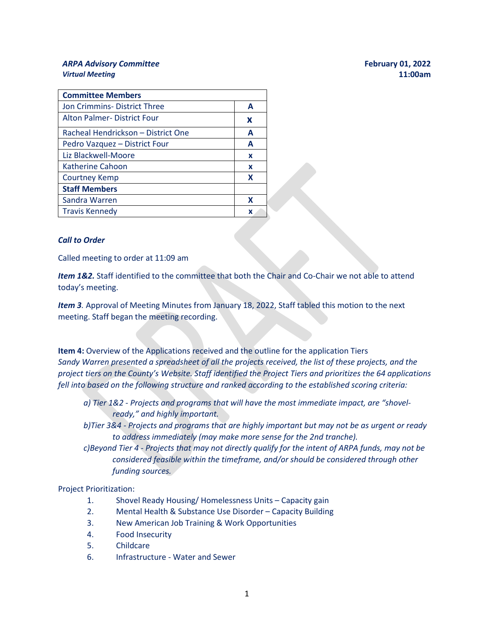## *ARPA Advisory Committee* **February 01, 2022** *Virtual Meeting* **11:00am**

| <b>Committee Members</b>           |   |
|------------------------------------|---|
| Jon Crimmins-District Three        | А |
| <b>Alton Palmer-District Four</b>  | X |
| Racheal Hendrickson - District One | A |
| Pedro Vazquez - District Four      | А |
| Liz Blackwell-Moore                | X |
| Katherine Cahoon                   | x |
| Courtney Kemp                      | X |
| <b>Staff Members</b>               |   |
| Sandra Warren                      | x |
| <b>Travis Kennedy</b>              | x |

## *Call to Order*

Called meeting to order at 11:09 am

Item 1&2. Staff identified to the committee that both the Chair and Co-Chair we not able to attend today's meeting.

*Item 3.* Approval of Meeting Minutes from January 18, 2022, Staff tabled this motion to the next meeting. Staff began the meeting recording.

**Item 4:** Overview of the Applications received and the outline for the application Tiers *Sandy Warren presented a spreadsheet of all the projects received, the list of these projects, and the project tiers on the County's Website. Staff identified the Project Tiers and prioritizes the 64 applications fell into based on the following structure and ranked according to the established scoring criteria:* 

- *a) Tier 1&2 - Projects and programs that will have the most immediate impact, are "shovelready," and highly important.*
- *b)Tier 3&4 - Projects and programs that are highly important but may not be as urgent or ready to address immediately (may make more sense for the 2nd tranche).*
- *c)Beyond Tier 4 - Projects that may not directly qualify for the intent of ARPA funds, may not be considered feasible within the timeframe, and/or should be considered through other funding sources.*

## Project Prioritization:

- 1. Shovel Ready Housing/ Homelessness Units Capacity gain
- 2. Mental Health & Substance Use Disorder Capacity Building
- 3. New American Job Training & Work Opportunities
- 4. Food Insecurity
- 5. Childcare
- 6. Infrastructure Water and Sewer